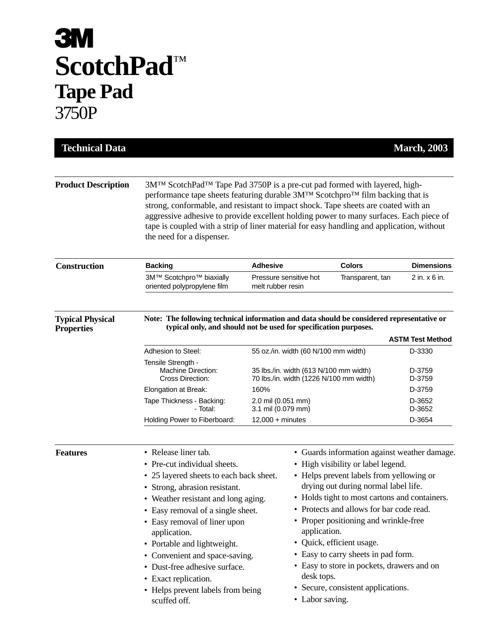## **3M ScotchPad**™ **Tape Pad** 3750P

| <b>Technical Data</b>                        |                                                                                                                                                                                                                                                                                                                                                                                                                                                                                              |                                                                                                                           |                                                                                                                                                                                                                                                                                                                                                                                                                                                                                                                       | <b>March, 2003</b> |  |  |  |
|----------------------------------------------|----------------------------------------------------------------------------------------------------------------------------------------------------------------------------------------------------------------------------------------------------------------------------------------------------------------------------------------------------------------------------------------------------------------------------------------------------------------------------------------------|---------------------------------------------------------------------------------------------------------------------------|-----------------------------------------------------------------------------------------------------------------------------------------------------------------------------------------------------------------------------------------------------------------------------------------------------------------------------------------------------------------------------------------------------------------------------------------------------------------------------------------------------------------------|--------------------|--|--|--|
| <b>Product Description</b>                   | 3M <sup>™</sup> ScotchPad <sup>™</sup> Tape Pad 3750P is a pre-cut pad formed with layered, high-<br>performance tape sheets featuring durable 3M™ Scotchpro™ film backing that is<br>strong, conformable, and resistant to impact shock. Tape sheets are coated with an<br>aggressive adhesive to provide excellent holding power to many surfaces. Each piece of<br>tape is coupled with a strip of liner material for easy handling and application, without<br>the need for a dispenser. |                                                                                                                           |                                                                                                                                                                                                                                                                                                                                                                                                                                                                                                                       |                    |  |  |  |
| <b>Construction</b>                          | <b>Backing</b>                                                                                                                                                                                                                                                                                                                                                                                                                                                                               | <b>Adhesive</b>                                                                                                           | <b>Colors</b>                                                                                                                                                                                                                                                                                                                                                                                                                                                                                                         | <b>Dimensions</b>  |  |  |  |
|                                              | 3M™ Scotchpro™ biaxially<br>oriented polypropylene film                                                                                                                                                                                                                                                                                                                                                                                                                                      | Pressure sensitive hot<br>melt rubber resin                                                                               | Transparent, tan                                                                                                                                                                                                                                                                                                                                                                                                                                                                                                      | 2 in. x 6 in.      |  |  |  |
| <b>Typical Physical</b><br><b>Properties</b> | Note: The following technical information and data should be considered representative or<br>typical only, and should not be used for specification purposes.<br><b>ASTM Test Method</b>                                                                                                                                                                                                                                                                                                     |                                                                                                                           |                                                                                                                                                                                                                                                                                                                                                                                                                                                                                                                       |                    |  |  |  |
|                                              | Adhesion to Steel:                                                                                                                                                                                                                                                                                                                                                                                                                                                                           |                                                                                                                           |                                                                                                                                                                                                                                                                                                                                                                                                                                                                                                                       | D-3330             |  |  |  |
|                                              | Tensile Strength -<br>Machine Direction:<br>Cross Direction:                                                                                                                                                                                                                                                                                                                                                                                                                                 | 55 oz./in. width (60 N/100 mm width)<br>35 lbs./in. width (613 N/100 mm width)<br>70 lbs./in. width (1226 N/100 mm width) |                                                                                                                                                                                                                                                                                                                                                                                                                                                                                                                       | D-3759<br>D-3759   |  |  |  |
|                                              | Elongation at Break:                                                                                                                                                                                                                                                                                                                                                                                                                                                                         | 160%                                                                                                                      |                                                                                                                                                                                                                                                                                                                                                                                                                                                                                                                       | D-3759             |  |  |  |
|                                              | Tape Thickness - Backing:<br>- Total:                                                                                                                                                                                                                                                                                                                                                                                                                                                        | 2.0 mil (0.051 mm)<br>3.1 mil (0.079 mm)                                                                                  |                                                                                                                                                                                                                                                                                                                                                                                                                                                                                                                       | D-3652<br>D-3652   |  |  |  |
|                                              | Holding Power to Fiberboard:                                                                                                                                                                                                                                                                                                                                                                                                                                                                 | $12,000 +$ minutes                                                                                                        |                                                                                                                                                                                                                                                                                                                                                                                                                                                                                                                       | D-3654             |  |  |  |
| <b>Features</b>                              | • Release liner tab.<br>• Pre-cut individual sheets.<br>• 25 layered sheets to each back sheet.<br>• Strong, abrasion resistant.<br>Weather resistant and long aging.<br>• Easy removal of a single sheet.<br>• Easy removal of liner upon<br>application.<br>• Portable and lightweight.<br>• Convenient and space-saving.<br>• Dust-free adhesive surface.<br>• Exact replication.<br>• Helps prevent labels from being<br>scuffed off.                                                    |                                                                                                                           | • Guards information against weather damage.<br>• High visibility or label legend.<br>• Helps prevent labels from yellowing or<br>drying out during normal label life.<br>• Holds tight to most cartons and containers.<br>• Protects and allows for bar code read.<br>• Proper positioning and wrinkle-free<br>application.<br>• Quick, efficient usage.<br>• Easy to carry sheets in pad form.<br>• Easy to store in pockets, drawers and on<br>desk tops.<br>• Secure, consistent applications.<br>• Labor saving. |                    |  |  |  |